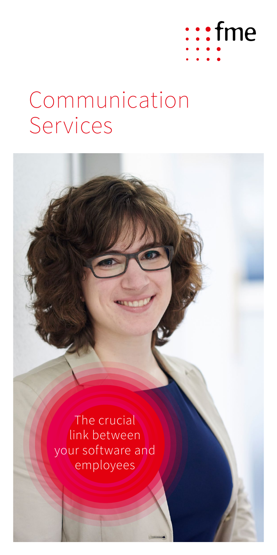

# Communication Services

The crucial link between your software and employees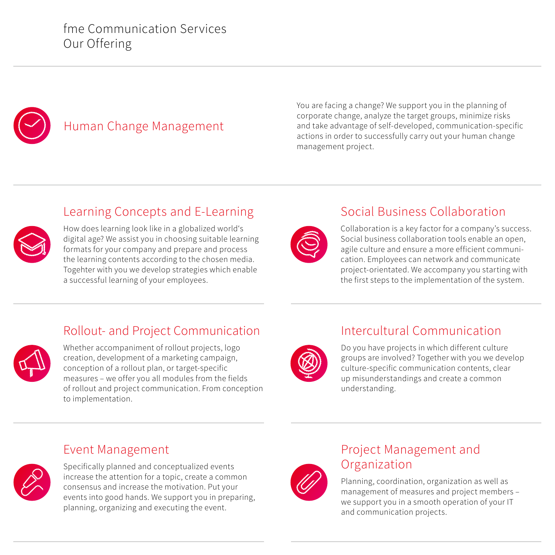

# Human Change Management

You are facing a change? We support you in the planning of corporate change, analyze the target groups, minimize risks and take advantage of self-developed, communication-specific actions in order to successfully carry out your human change management project.



#### Learning Concepts and E-Learning

How does learning look like in a globalized world's digital age? We assist you in choosing suitable learning formats for your company and prepare and process the learning contents according to the chosen media. Togehter with you we develop strategies which enable a successful learning of your employees.



#### Social Business Collaboration

Collaboration is a key factor for a company's success. Social business collaboration tools enable an open, agile culture and ensure a more efficient communication. Employees can network and communicate project-orientated. We accompany you starting with the first steps to the implementation of the system.

## Rollout- and Project Communication



Whether accompaniment of rollout projects, logo creation, development of a marketing campaign, conception of a rollout plan, or target-specific measures – we offer you all modules from the fields of rollout and project communication. From conception to implementation.

## Intercultural Communication



Do you have projects in which different culture groups are involved? Together with you we develop culture-specific communication contents, clear up misunderstandings and create a common understanding.

#### Event Management



Specifically planned and conceptualized events increase the attention for a topic, create a common consensus and increase the motivation. Put your events into good hands. We support you in preparing, planning, organizing and executing the event.



#### Project Management and Organization

Planning, coordination, organization as well as management of measures and project members – we support you in a smooth operation of your IT and communication projects.